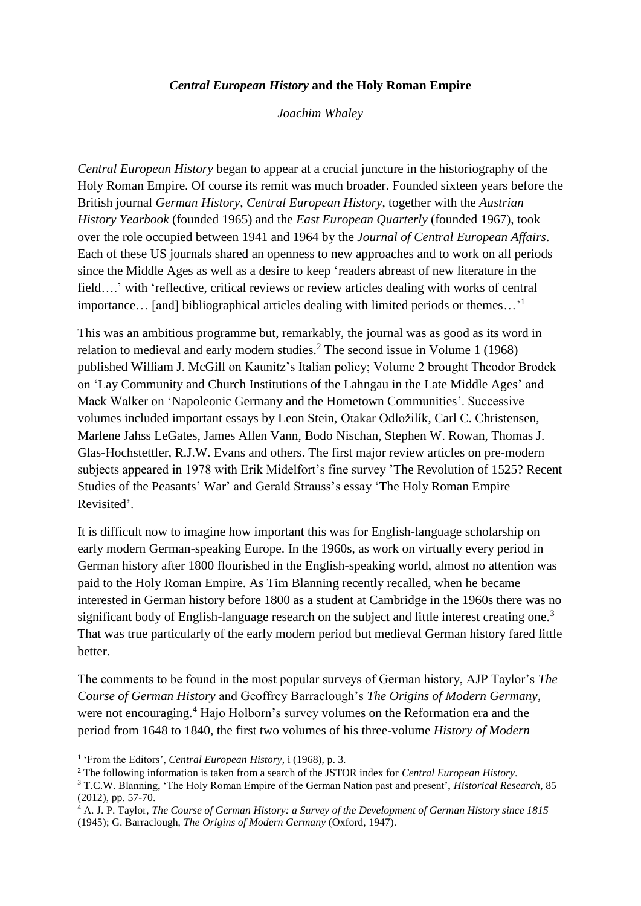## *Central European History* **and the Holy Roman Empire**

*Joachim Whaley*

*Central European History* began to appear at a crucial juncture in the historiography of the Holy Roman Empire. Of course its remit was much broader. Founded sixteen years before the British journal *German History*, *Central European History*, together with the *Austrian History Yearbook* (founded 1965) and the *East European Quarterly* (founded 1967), took over the role occupied between 1941 and 1964 by the *Journal of Central European Affairs*. Each of these US journals shared an openness to new approaches and to work on all periods since the Middle Ages as well as a desire to keep 'readers abreast of new literature in the field....' with 'reflective, critical reviews or review articles dealing with works of central importance… [and] bibliographical articles dealing with limited periods or themes…'<sup>1</sup>

This was an ambitious programme but, remarkably, the journal was as good as its word in relation to medieval and early modern studies.<sup>2</sup> The second issue in Volume 1 (1968) published William J. McGill on Kaunitz's Italian policy; Volume 2 brought Theodor Brodek on 'Lay Community and Church Institutions of the Lahngau in the Late Middle Ages' and Mack Walker on 'Napoleonic Germany and the Hometown Communities'. Successive volumes included important essays by Leon Stein, Otakar Odložilík, Carl C. Christensen, Marlene Jahss LeGates, James Allen Vann, Bodo Nischan, Stephen W. Rowan, Thomas J. Glas-Hochstettler, R.J.W. Evans and others. The first major review articles on pre-modern subjects appeared in 1978 with Erik Midelfort's fine survey 'The Revolution of 1525? Recent Studies of the Peasants' War' and Gerald Strauss's essay 'The Holy Roman Empire Revisited'.

It is difficult now to imagine how important this was for English-language scholarship on early modern German-speaking Europe. In the 1960s, as work on virtually every period in German history after 1800 flourished in the English-speaking world, almost no attention was paid to the Holy Roman Empire. As Tim Blanning recently recalled, when he became interested in German history before 1800 as a student at Cambridge in the 1960s there was no significant body of English-language research on the subject and little interest creating one.<sup>3</sup> That was true particularly of the early modern period but medieval German history fared little better.

The comments to be found in the most popular surveys of German history, AJP Taylor's *The Course of German History* and Geoffrey Barraclough's *The Origins of Modern Germany*, were not encouraging.<sup>4</sup> Hajo Holborn's survey volumes on the Reformation era and the period from 1648 to 1840, the first two volumes of his three-volume *History of Modern* 

1

<sup>4</sup> A. J. P. Taylor, *The Course of German History: a Survey of the Development of German History since 1815* (1945); G. Barraclough, *The Origins of Modern Germany* (Oxford, 1947).

<sup>1</sup> 'From the Editors', *Central European History*, i (1968), p. 3.

<sup>2</sup> The following information is taken from a search of the JSTOR index for *Central European History*.

<sup>3</sup> T.C.W. Blanning, 'The Holy Roman Empire of the German Nation past and present', *Historical Research*, 85 (2012), pp. 57-70.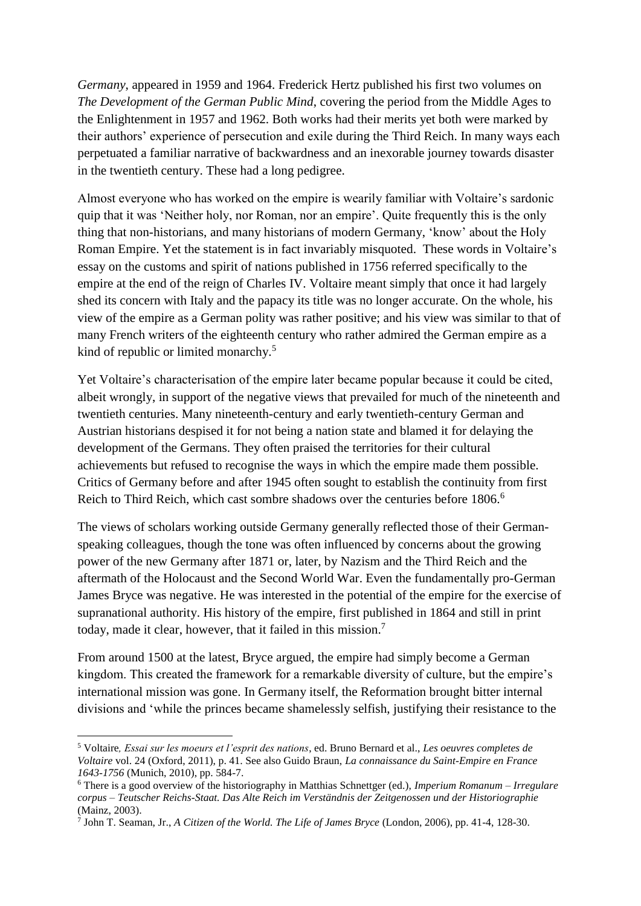*Germany*, appeared in 1959 and 1964. Frederick Hertz published his first two volumes on *The Development of the German Public Mind*, covering the period from the Middle Ages to the Enlightenment in 1957 and 1962. Both works had their merits yet both were marked by their authors' experience of persecution and exile during the Third Reich. In many ways each perpetuated a familiar narrative of backwardness and an inexorable journey towards disaster in the twentieth century. These had a long pedigree.

Almost everyone who has worked on the empire is wearily familiar with Voltaire's sardonic quip that it was 'Neither holy, nor Roman, nor an empire'. Quite frequently this is the only thing that non-historians, and many historians of modern Germany, 'know' about the Holy Roman Empire. Yet the statement is in fact invariably misquoted. These words in Voltaire's essay on the customs and spirit of nations published in 1756 referred specifically to the empire at the end of the reign of Charles IV. Voltaire meant simply that once it had largely shed its concern with Italy and the papacy its title was no longer accurate. On the whole, his view of the empire as a German polity was rather positive; and his view was similar to that of many French writers of the eighteenth century who rather admired the German empire as a kind of republic or limited monarchy.<sup>5</sup>

Yet Voltaire's characterisation of the empire later became popular because it could be cited, albeit wrongly, in support of the negative views that prevailed for much of the nineteenth and twentieth centuries. Many nineteenth-century and early twentieth-century German and Austrian historians despised it for not being a nation state and blamed it for delaying the development of the Germans. They often praised the territories for their cultural achievements but refused to recognise the ways in which the empire made them possible. Critics of Germany before and after 1945 often sought to establish the continuity from first Reich to Third Reich, which cast sombre shadows over the centuries before 1806.<sup>6</sup>

The views of scholars working outside Germany generally reflected those of their Germanspeaking colleagues, though the tone was often influenced by concerns about the growing power of the new Germany after 1871 or, later, by Nazism and the Third Reich and the aftermath of the Holocaust and the Second World War. Even the fundamentally pro-German James Bryce was negative. He was interested in the potential of the empire for the exercise of supranational authority. His history of the empire, first published in 1864 and still in print today, made it clear, however, that it failed in this mission.<sup>7</sup>

From around 1500 at the latest, Bryce argued, the empire had simply become a German kingdom. This created the framework for a remarkable diversity of culture, but the empire's international mission was gone. In Germany itself, the Reformation brought bitter internal divisions and 'while the princes became shamelessly selfish, justifying their resistance to the

<sup>5</sup> Voltaire*, Essai sur les moeurs et l'esprit des nations*, ed. Bruno Bernard et al., *Les oeuvres completes de Voltaire* vol. 24 (Oxford, 2011), p. 41. See also Guido Braun, *La connaissance du Saint-Empire en France 1643-1756* (Munich, 2010), pp. 584-7.

<sup>6</sup> There is a good overview of the historiography in Matthias Schnettger (ed.), *Imperium Romanum – Irregulare corpus – Teutscher Reichs-Staat. Das Alte Reich im Verständnis der Zeitgenossen und der Historiographie* (Mainz, 2003).

<sup>7</sup> John T. Seaman, Jr., *A Citizen of the World. The Life of James Bryce* (London, 2006), pp. 41-4, 128-30.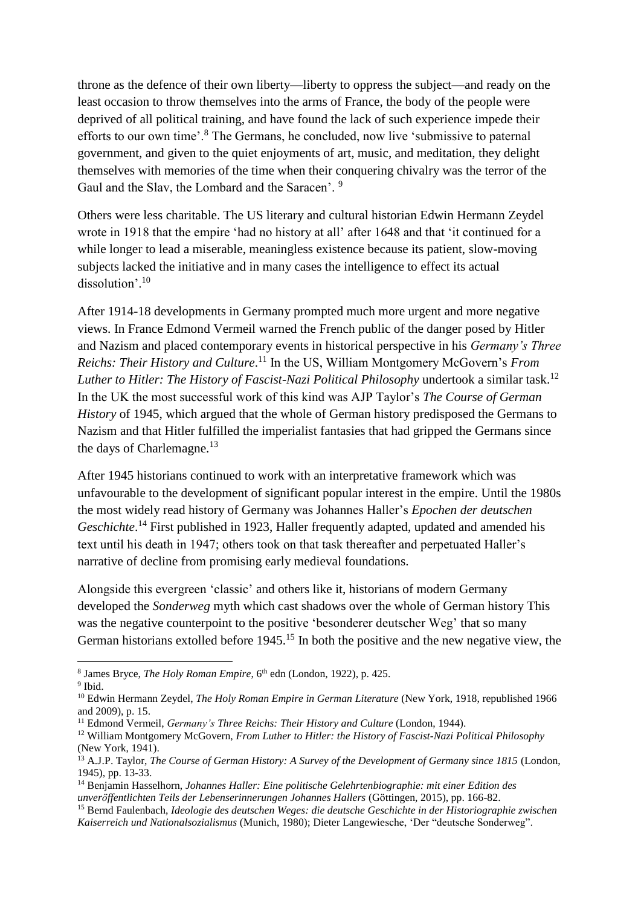throne as the defence of their own liberty—liberty to oppress the subject—and ready on the least occasion to throw themselves into the arms of France, the body of the people were deprived of all political training, and have found the lack of such experience impede their efforts to our own time'.<sup>8</sup> The Germans, he concluded, now live 'submissive to paternal government, and given to the quiet enjoyments of art, music, and meditation, they delight themselves with memories of the time when their conquering chivalry was the terror of the Gaul and the Slav, the Lombard and the Saracen'. 9

Others were less charitable. The US literary and cultural historian Edwin Hermann Zeydel wrote in 1918 that the empire 'had no history at all' after 1648 and that 'it continued for a while longer to lead a miserable, meaningless existence because its patient, slow-moving subjects lacked the initiative and in many cases the intelligence to effect its actual dissolution'.<sup>10</sup>

After 1914-18 developments in Germany prompted much more urgent and more negative views. In France Edmond Vermeil warned the French public of the danger posed by Hitler and Nazism and placed contemporary events in historical perspective in his *Germany's Three Reichs: Their History and Culture*. <sup>11</sup> In the US, William Montgomery McGovern's *From Luther to Hitler: The History of Fascist-Nazi Political Philosophy undertook a similar task.*<sup>12</sup> In the UK the most successful work of this kind was AJP Taylor's *The Course of German History* of 1945, which argued that the whole of German history predisposed the Germans to Nazism and that Hitler fulfilled the imperialist fantasies that had gripped the Germans since the days of Charlemagne.<sup>13</sup>

After 1945 historians continued to work with an interpretative framework which was unfavourable to the development of significant popular interest in the empire. Until the 1980s the most widely read history of Germany was Johannes Haller's *Epochen der deutschen*  Geschichte.<sup>14</sup> First published in 1923, Haller frequently adapted, updated and amended his text until his death in 1947; others took on that task thereafter and perpetuated Haller's narrative of decline from promising early medieval foundations.

Alongside this evergreen 'classic' and others like it, historians of modern Germany developed the *Sonderweg* myth which cast shadows over the whole of German history This was the negative counterpoint to the positive 'besonderer deutscher Weg' that so many German historians extolled before 1945.<sup>15</sup> In both the positive and the new negative view, the

<sup>8</sup> James Bryce, *The Holy Roman Empire*, 6<sup>th</sup> edn (London, 1922), p. 425.

<sup>&</sup>lt;sup>9</sup> Ibid.

<sup>10</sup> Edwin Hermann Zeydel, *The Holy Roman Empire in German Literature* (New York, 1918, republished 1966 and 2009), p. 15.

<sup>11</sup> Edmond Vermeil, *Germany's Three Reichs: Their History and Culture* (London, 1944).

<sup>12</sup> William Montgomery McGovern, *From Luther to Hitler: the History of Fascist-Nazi Political Philosophy* (New York, 1941).

<sup>13</sup> A.J.P. Taylor, *The Course of German History: A Survey of the Development of Germany since 1815* (London, 1945), pp. 13-33.

<sup>14</sup> Benjamin Hasselhorn, *Johannes Haller: Eine politische Gelehrtenbiographie: mit einer Edition des unveröffentlichten Teils der Lebenserinnerungen Johannes Hallers* (Göttingen, 2015), pp. 166-82.

<sup>15</sup> Bernd Faulenbach, *Ideologie des deutschen Weges: die deutsche Geschichte in der Historiographie zwischen Kaiserreich und Nationalsozialismus* (Munich, 1980); Dieter Langewiesche, 'Der "deutsche Sonderweg".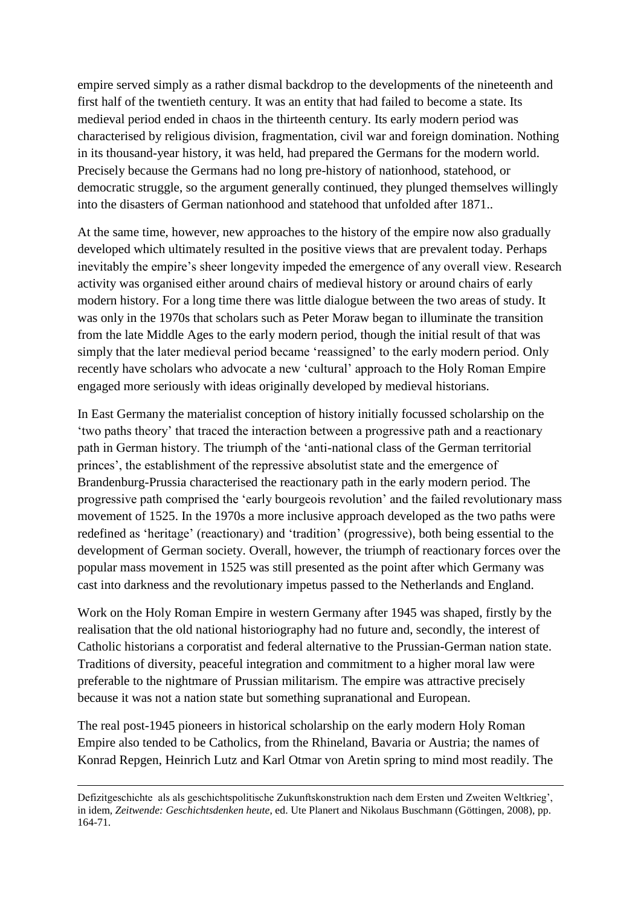empire served simply as a rather dismal backdrop to the developments of the nineteenth and first half of the twentieth century. It was an entity that had failed to become a state. Its medieval period ended in chaos in the thirteenth century. Its early modern period was characterised by religious division, fragmentation, civil war and foreign domination. Nothing in its thousand-year history, it was held, had prepared the Germans for the modern world. Precisely because the Germans had no long pre-history of nationhood, statehood, or democratic struggle, so the argument generally continued, they plunged themselves willingly into the disasters of German nationhood and statehood that unfolded after 1871..

At the same time, however, new approaches to the history of the empire now also gradually developed which ultimately resulted in the positive views that are prevalent today. Perhaps inevitably the empire's sheer longevity impeded the emergence of any overall view. Research activity was organised either around chairs of medieval history or around chairs of early modern history. For a long time there was little dialogue between the two areas of study. It was only in the 1970s that scholars such as Peter Moraw began to illuminate the transition from the late Middle Ages to the early modern period, though the initial result of that was simply that the later medieval period became 'reassigned' to the early modern period. Only recently have scholars who advocate a new 'cultural' approach to the Holy Roman Empire engaged more seriously with ideas originally developed by medieval historians.

In East Germany the materialist conception of history initially focussed scholarship on the 'two paths theory' that traced the interaction between a progressive path and a reactionary path in German history. The triumph of the 'anti-national class of the German territorial princes', the establishment of the repressive absolutist state and the emergence of Brandenburg-Prussia characterised the reactionary path in the early modern period. The progressive path comprised the 'early bourgeois revolution' and the failed revolutionary mass movement of 1525. In the 1970s a more inclusive approach developed as the two paths were redefined as 'heritage' (reactionary) and 'tradition' (progressive), both being essential to the development of German society. Overall, however, the triumph of reactionary forces over the popular mass movement in 1525 was still presented as the point after which Germany was cast into darkness and the revolutionary impetus passed to the Netherlands and England.

Work on the Holy Roman Empire in western Germany after 1945 was shaped, firstly by the realisation that the old national historiography had no future and, secondly, the interest of Catholic historians a corporatist and federal alternative to the Prussian-German nation state. Traditions of diversity, peaceful integration and commitment to a higher moral law were preferable to the nightmare of Prussian militarism. The empire was attractive precisely because it was not a nation state but something supranational and European.

The real post-1945 pioneers in historical scholarship on the early modern Holy Roman Empire also tended to be Catholics, from the Rhineland, Bavaria or Austria; the names of Konrad Repgen, Heinrich Lutz and Karl Otmar von Aretin spring to mind most readily. The

Defizitgeschichte als als geschichtspolitische Zukunftskonstruktion nach dem Ersten und Zweiten Weltkrieg', in idem*, Zeitwende: Geschichtsdenken heute*, ed. Ute Planert and Nikolaus Buschmann (Göttingen, 2008), pp. 164-71.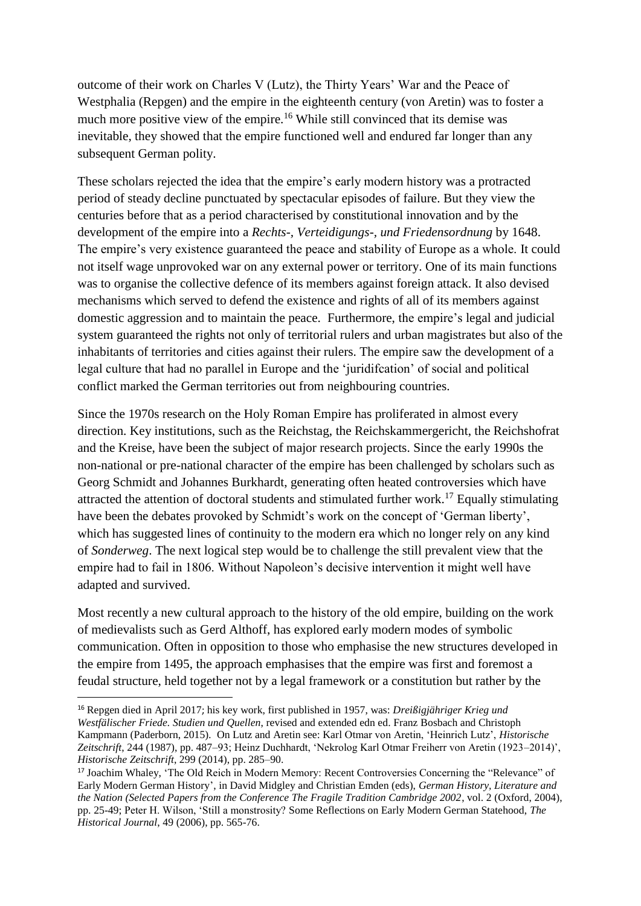outcome of their work on Charles V (Lutz), the Thirty Years' War and the Peace of Westphalia (Repgen) and the empire in the eighteenth century (von Aretin) was to foster a much more positive view of the empire.<sup>16</sup> While still convinced that its demise was inevitable, they showed that the empire functioned well and endured far longer than any subsequent German polity.

These scholars rejected the idea that the empire's early modern history was a protracted period of steady decline punctuated by spectacular episodes of failure. But they view the centuries before that as a period characterised by constitutional innovation and by the development of the empire into a *Rechts-, Verteidigungs-, und Friedensordnung* by 1648. The empire's very existence guaranteed the peace and stability of Europe as a whole. It could not itself wage unprovoked war on any external power or territory. One of its main functions was to organise the collective defence of its members against foreign attack. It also devised mechanisms which served to defend the existence and rights of all of its members against domestic aggression and to maintain the peace. Furthermore, the empire's legal and judicial system guaranteed the rights not only of territorial rulers and urban magistrates but also of the inhabitants of territories and cities against their rulers. The empire saw the development of a legal culture that had no parallel in Europe and the 'juridifcation' of social and political conflict marked the German territories out from neighbouring countries.

Since the 1970s research on the Holy Roman Empire has proliferated in almost every direction. Key institutions, such as the Reichstag, the Reichskammergericht, the Reichshofrat and the Kreise, have been the subject of major research projects. Since the early 1990s the non-national or pre-national character of the empire has been challenged by scholars such as Georg Schmidt and Johannes Burkhardt, generating often heated controversies which have attracted the attention of doctoral students and stimulated further work.<sup>17</sup> Equally stimulating have been the debates provoked by Schmidt's work on the concept of 'German liberty', which has suggested lines of continuity to the modern era which no longer rely on any kind of *Sonderweg*. The next logical step would be to challenge the still prevalent view that the empire had to fail in 1806. Without Napoleon's decisive intervention it might well have adapted and survived.

Most recently a new cultural approach to the history of the old empire, building on the work of medievalists such as Gerd Althoff, has explored early modern modes of symbolic communication. Often in opposition to those who emphasise the new structures developed in the empire from 1495, the approach emphasises that the empire was first and foremost a feudal structure, held together not by a legal framework or a constitution but rather by the

<u>.</u>

<sup>16</sup> Repgen died in April 2017; his key work, first published in 1957, was: *Dreißigjähriger Krieg und Westfälischer Friede. Studien und Quellen*, revised and extended edn ed. Franz Bosbach and Christoph Kampmann (Paderborn, 2015)*.* On Lutz and Aretin see: Karl Otmar von Aretin, 'Heinrich Lutz', *Historische Zeitschrift*, 244 (1987), pp. 487–93; Heinz Duchhardt, 'Nekrolog Karl Otmar Freiherr von Aretin (1923–2014)', *Historische Zeitschrift*, 299 (2014), pp. 285–90.

<sup>17</sup> Joachim Whaley, 'The Old Reich in Modern Memory: Recent Controversies Concerning the "Relevance" of Early Modern German History', in David Midgley and Christian Emden (eds), *German History, Literature and the Nation (Selected Papers from the Conference The Fragile Tradition Cambridge 2002*, vol. 2 (Oxford, 2004), pp. 25-49; Peter H. Wilson, 'Still a monstrosity? Some Reflections on Early Modern German Statehood, *The Historical Journal*, 49 (2006), pp. 565-76.